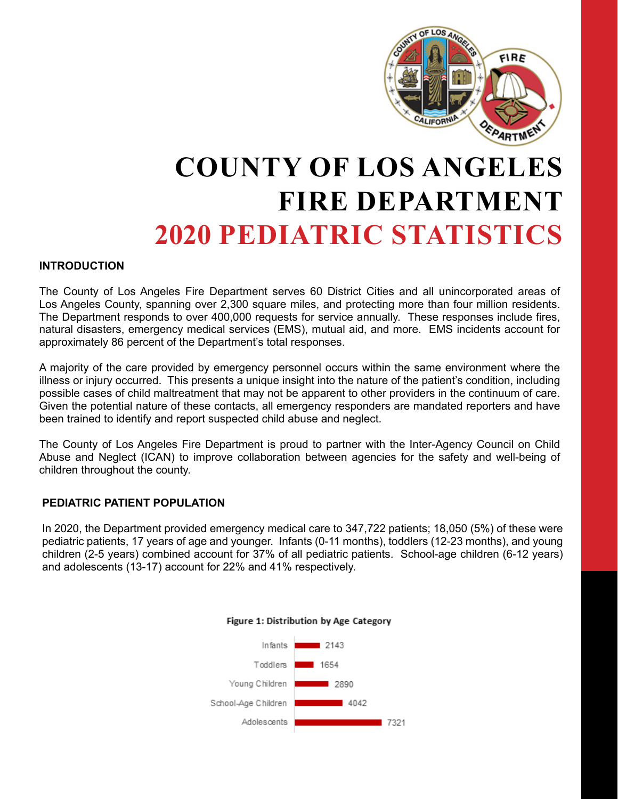

# **COUNTY OF LOS ANGELES FIRE DEPARTMENT 2020 PEDIATRIC STATISTICS**

#### **INTRODUCTION**

The County of Los Angeles Fire Department serves 60 District Cities and all unincorporated areas of Los Angeles County, spanning over 2,300 square miles, and protecting more than four million residents. The Department responds to over 400,000 requests for service annually. These responses include fires, natural disasters, emergency medical services (EMS), mutual aid, and more. EMS incidents account for approximately 86 percent of the Department's total responses.

A majority of the care provided by emergency personnel occurs within the same environment where the illness or injury occurred. This presents a unique insight into the nature of the patient's condition, including possible cases of child maltreatment that may not be apparent to other providers in the continuum of care. Given the potential nature of these contacts, all emergency responders are mandated reporters and have been trained to identify and report suspected child abuse and neglect.

The County of Los Angeles Fire Department is proud to partner with the Inter-Agency Council on Child Abuse and Neglect (ICAN) to improve collaboration between agencies for the safety and well-being of children throughout the county.

#### **PEDIATRIC PATIENT POPULATION**

In 2020, the Department provided emergency medical care to 347,722 patients; 18,050 (5%) of these were pediatric patients, 17 years of age and younger. Infants (0-11 months), toddlers (12-23 months), and young children (2-5 years) combined account for 37% of all pediatric patients. School-age children (6-12 years) and adolescents (13-17) account for 22% and 41% respectively.



#### Figure 1: Distribution by Age Category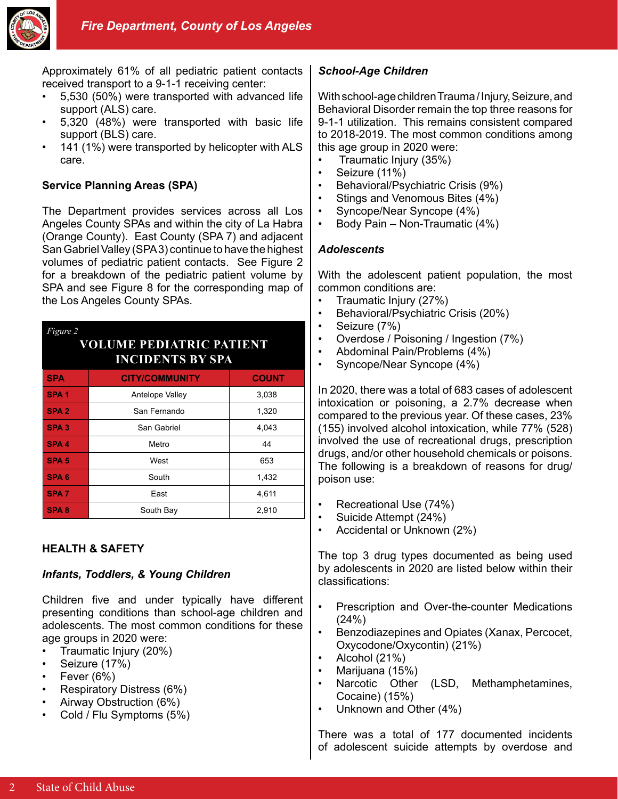

Approximately 61% of all pediatric patient contacts received transport to a 9-1-1 receiving center:

- 5,530 (50%) were transported with advanced life support (ALS) care.
- 5,320 (48%) were transported with basic life support (BLS) care.
- 141 (1%) were transported by helicopter with ALS care.

### **Service Planning Areas (SPA)**

The Department provides services across all Los Angeles County SPAs and within the city of La Habra (Orange County). East County (SPA 7) and adjacent San Gabriel Valley (SPA 3) continue to have the highest volumes of pediatric patient contacts. See Figure 2 for a breakdown of the pediatric patient volume by SPA and see Figure 8 for the corresponding map of the Los Angeles County SPAs.

| <i>Figure 2</i><br><b>VOLUME PEDIATRIC PATIENT</b><br><b>INCIDENTS BY SPA</b> |                       |              |
|-------------------------------------------------------------------------------|-----------------------|--------------|
| <b>SPA</b>                                                                    | <b>CITY/COMMUNITY</b> | <b>COUNT</b> |
| SPA <sub>1</sub>                                                              | Antelope Valley       | 3,038        |
| SPA <sub>2</sub>                                                              | San Fernando          | 1,320        |
| SPA <sub>3</sub>                                                              | San Gabriel           | 4,043        |
| SPA <sub>4</sub>                                                              | Metro                 | 44           |
| SPA <sub>5</sub>                                                              | West                  | 653          |
| SPA <sub>6</sub>                                                              | South                 | 1,432        |
| <b>SPA7</b>                                                                   | East                  | 4,611        |
| <b>SPA8</b>                                                                   | South Bay             | 2,910        |

## **HEALTH & SAFETY**

#### *Infants, Toddlers, & Young Children*

Children five and under typically have different presenting conditions than school-age children and adolescents. The most common conditions for these age groups in 2020 were:

- Traumatic Injury (20%)
- Seizure (17%)
- Fever  $(6%)$
- Respiratory Distress (6%)
- Airway Obstruction (6%)
- Cold / Flu Symptoms (5%)

## *School-Age Children*

With school-age children Trauma / Injury, Seizure, and Behavioral Disorder remain the top three reasons for 9-1-1 utilization. This remains consistent compared to 2018-2019. The most common conditions among this age group in 2020 were:

- Traumatic Injury (35%)
- Seizure (11%)
- Behavioral/Psychiatric Crisis (9%)
- Stings and Venomous Bites (4%)
- Syncope/Near Syncope (4%)
- Body Pain Non-Traumatic (4%)

#### *Adolescents*

With the adolescent patient population, the most common conditions are:

- Traumatic Injury (27%)
- Behavioral/Psychiatric Crisis (20%)
- Seizure (7%)
- Overdose / Poisoning / Ingestion (7%)
- Abdominal Pain/Problems (4%)
- Syncope/Near Syncope (4%)

In 2020, there was a total of 683 cases of adolescent intoxication or poisoning, a 2.7% decrease when compared to the previous year. Of these cases, 23% (155) involved alcohol intoxication, while 77% (528) involved the use of recreational drugs, prescription drugs, and/or other household chemicals or poisons. The following is a breakdown of reasons for drug/ poison use:

- Recreational Use (74%)
- Suicide Attempt (24%)
- Accidental or Unknown (2%)

The top 3 drug types documented as being used by adolescents in 2020 are listed below within their classifications:

- Prescription and Over-the-counter Medications (24%)
- Benzodiazepines and Opiates (Xanax, Percocet, Oxycodone/Oxycontin) (21%)
- Alcohol (21%)
- Marijuana (15%)
- Narcotic Other (LSD, Methamphetamines, Cocaine) (15%)
- Unknown and Other (4%)

There was a total of 177 documented incidents of adolescent suicide attempts by overdose and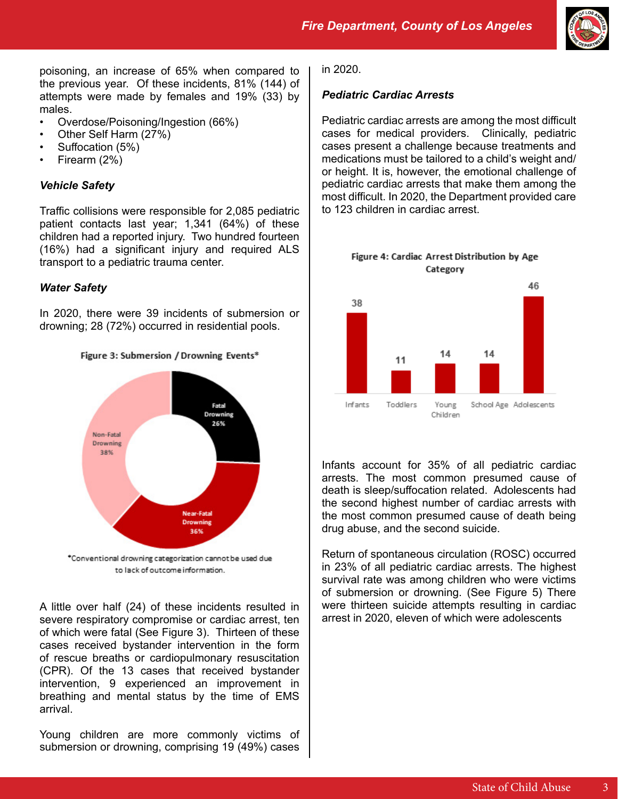

poisoning, an increase of 65% when compared to the previous year. Of these incidents, 81% (144) of attempts were made by females and 19% (33) by males.

- Overdose/Poisoning/Ingestion (66%)
- Other Self Harm (27%)
- Suffocation (5%)
- Firearm (2%)

# *Vehicle Safety*

Traffic collisions were responsible for 2,085 pediatric patient contacts last year; 1,341 (64%) of these children had a reported injury. Two hundred fourteen (16%) had a significant injury and required ALS transport to a pediatric trauma center.

# *Water Safety*

In 2020, there were 39 incidents of submersion or drowning; 28 (72%) occurred in residential pools.





\*Conventional drowning categorization cannot be used due to lack of outcome information.

A little over half (24) of these incidents resulted in severe respiratory compromise or cardiac arrest, ten of which were fatal (See Figure 3). Thirteen of these cases received bystander intervention in the form of rescue breaths or cardiopulmonary resuscitation (CPR). Of the 13 cases that received bystander intervention, 9 experienced an improvement in breathing and mental status by the time of EMS arrival.

Young children are more commonly victims of submersion or drowning, comprising 19 (49%) cases

in 2020.

### *Pediatric Cardiac Arrests*

Pediatric cardiac arrests are among the most difficult cases for medical providers. Clinically, pediatric cases present a challenge because treatments and medications must be tailored to a child's weight and/ or height. It is, however, the emotional challenge of pediatric cardiac arrests that make them among the most difficult. In 2020, the Department provided care to 123 children in cardiac arrest.



Infants account for 35% of all pediatric cardiac arrests. The most common presumed cause of death is sleep/suffocation related. Adolescents had the second highest number of cardiac arrests with the most common presumed cause of death being drug abuse, and the second suicide.

Return of spontaneous circulation (ROSC) occurred in 23% of all pediatric cardiac arrests. The highest survival rate was among children who were victims of submersion or drowning. (See Figure 5) There were thirteen suicide attempts resulting in cardiac arrest in 2020, eleven of which were adolescents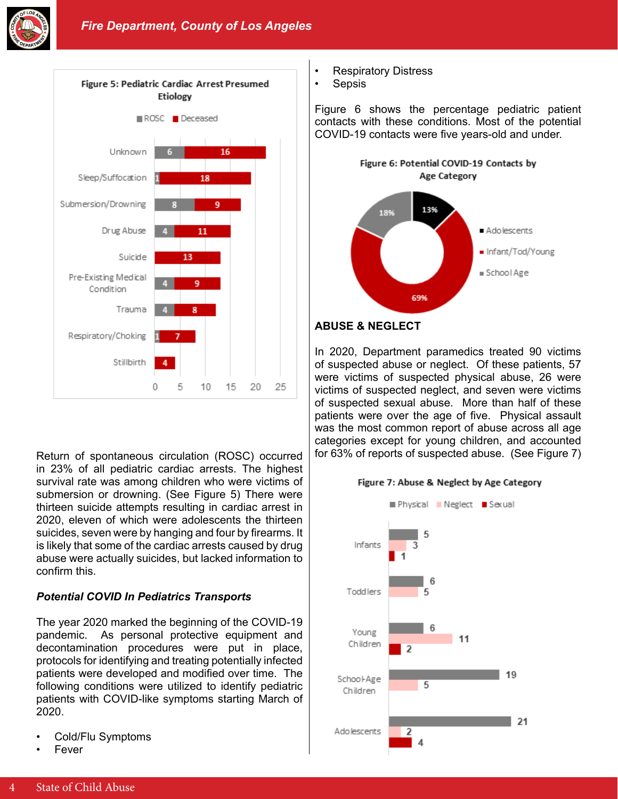



Return of spontaneous circulation (ROSC) occurred in 23% of all pediatric cardiac arrests. The highest survival rate was among children who were victims of submersion or drowning. (See Figure 5) There were thirteen suicide attempts resulting in cardiac arrest in 2020, eleven of which were adolescents the thirteen suicides, seven were by hanging and four by firearms. It is likely that some of the cardiac arrests caused by drug abuse were actually suicides, but lacked information to confirm this.

## *Potential COVID In Pediatrics Transports*

The year 2020 marked the beginning of the COVID-19 pandemic. As personal protective equipment and decontamination procedures were put in place, protocols for identifying and treating potentially infected patients were developed and modified over time. The following conditions were utilized to identify pediatric patients with COVID-like symptoms starting March of 2020.

- Cold/Flu Symptoms
- **Fever**
- Respiratory Distress
- **Sepsis**

Figure 6 shows the percentage pediatric patient contacts with these conditions. Most of the potential COVID-19 contacts were five years-old and under.



#### **ABUSE & NEGLECT**

In 2020, Department paramedics treated 90 victims of suspected abuse or neglect. Of these patients, 57 were victims of suspected physical abuse, 26 were victims of suspected neglect, and seven were victims of suspected sexual abuse. More than half of these patients were over the age of five. Physical assault was the most common report of abuse across all age categories except for young children, and accounted for 63% of reports of suspected abuse. (See Figure 7)

#### Figure 7: Abuse & Neglect by Age Category

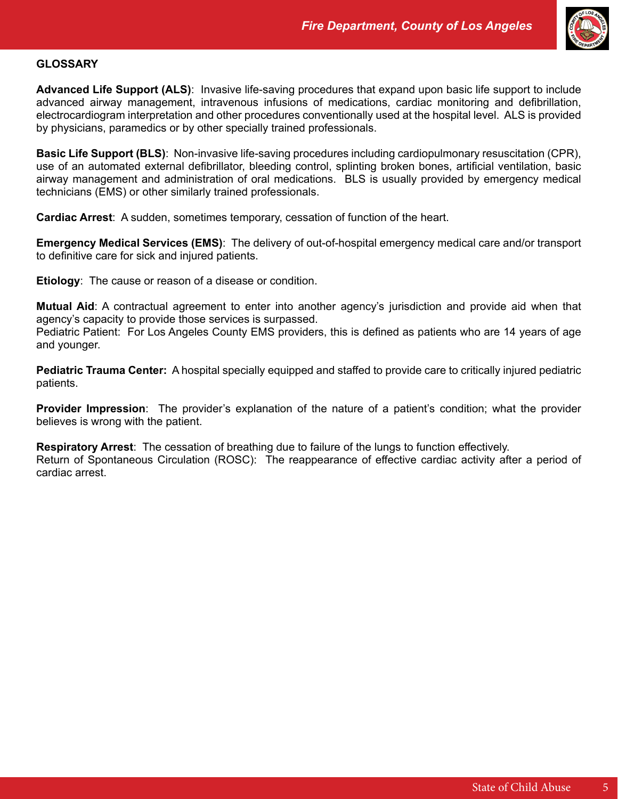

#### **GLOSSARY**

**Advanced Life Support (ALS)**: Invasive life-saving procedures that expand upon basic life support to include advanced airway management, intravenous infusions of medications, cardiac monitoring and defibrillation, electrocardiogram interpretation and other procedures conventionally used at the hospital level. ALS is provided by physicians, paramedics or by other specially trained professionals.

**Basic Life Support (BLS)**: Non-invasive life-saving procedures including cardiopulmonary resuscitation (CPR), use of an automated external defibrillator, bleeding control, splinting broken bones, artificial ventilation, basic airway management and administration of oral medications. BLS is usually provided by emergency medical technicians (EMS) or other similarly trained professionals.

**Cardiac Arrest**: A sudden, sometimes temporary, cessation of function of the heart.

**Emergency Medical Services (EMS)**: The delivery of out-of-hospital emergency medical care and/or transport to definitive care for sick and injured patients.

**Etiology**: The cause or reason of a disease or condition.

**Mutual Aid**: A contractual agreement to enter into another agency's jurisdiction and provide aid when that agency's capacity to provide those services is surpassed.

Pediatric Patient: For Los Angeles County EMS providers, this is defined as patients who are 14 years of age and younger.

**Pediatric Trauma Center:** A hospital specially equipped and staffed to provide care to critically injured pediatric patients.

**Provider Impression**: The provider's explanation of the nature of a patient's condition; what the provider believes is wrong with the patient.

**Respiratory Arrest**: The cessation of breathing due to failure of the lungs to function effectively. Return of Spontaneous Circulation (ROSC): The reappearance of effective cardiac activity after a period of cardiac arrest.